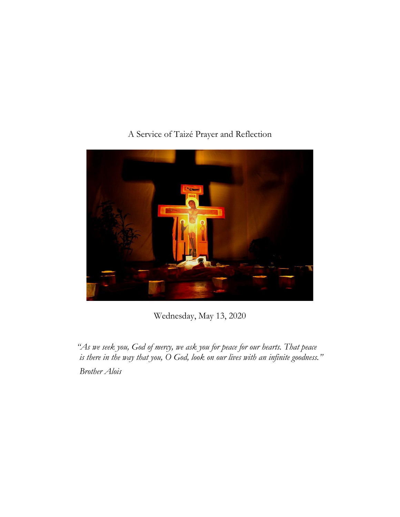# A Service of Taizé Prayer and Reflection



Wednesday, May 13, 2020

*"As we seek you, God of mercy, we ask you for peace for our hearts. That peace is there in the way that you, O God, look on our lives with an infinite goodness." Brother Alois*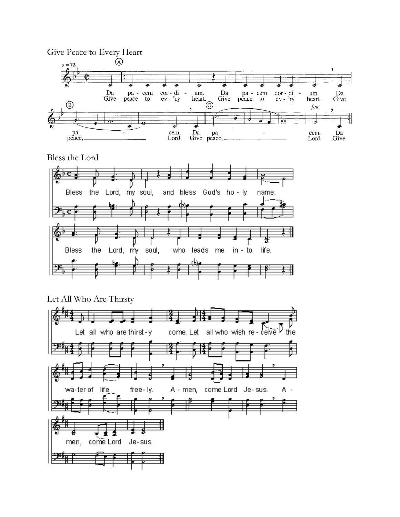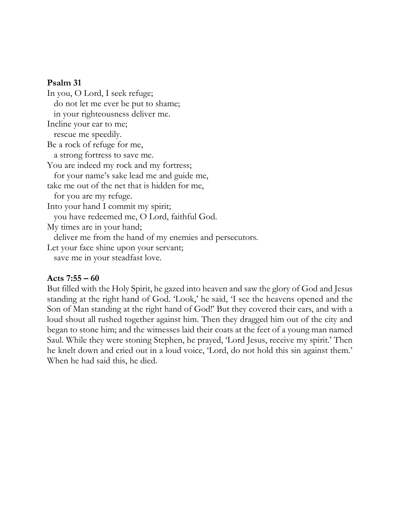#### **Psalm 31**

In you, O Lord, I seek refuge; do not let me ever be put to shame; in your righteousness deliver me. Incline your ear to me; rescue me speedily. Be a rock of refuge for me, a strong fortress to save me. You are indeed my rock and my fortress; for your name's sake lead me and guide me, take me out of the net that is hidden for me, for you are my refuge. Into your hand I commit my spirit; you have redeemed me, O Lord, faithful God. My times are in your hand; deliver me from the hand of my enemies and persecutors. Let your face shine upon your servant; save me in your steadfast love.

#### **Acts 7:55 – 60**

But filled with the Holy Spirit, he gazed into heaven and saw the glory of God and Jesus standing at the right hand of God. 'Look,' he said, 'I see the heavens opened and the Son of Man standing at the right hand of God!' But they covered their ears, and with a loud shout all rushed together against him. Then they dragged him out of the city and began to stone him; and the witnesses laid their coats at the feet of a young man named Saul. While they were stoning Stephen, he prayed, 'Lord Jesus, receive my spirit.' Then he knelt down and cried out in a loud voice, 'Lord, do not hold this sin against them.' When he had said this, he died.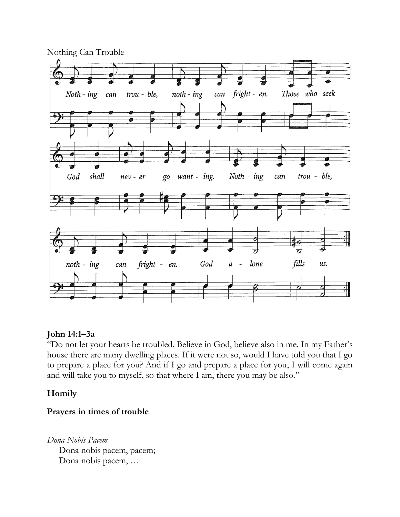

## **John 14:1–3a**

"Do not let your hearts be troubled. Believe in God, believe also in me. In my Father's house there are many dwelling places. If it were not so, would I have told you that I go to prepare a place for you? And if I go and prepare a place for you, I will come again and will take you to myself, so that where I am, there you may be also."

## **Homily**

## **Prayers in times of trouble**

*Dona Nobis Pacem* Dona nobis pacem, pacem; Dona nobis pacem, …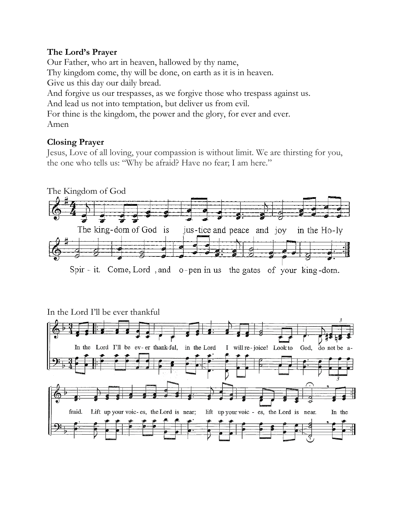## **The Lord's Prayer**

Our Father, who art in heaven, hallowed by thy name, Thy kingdom come, thy will be done, on earth as it is in heaven. Give us this day our daily bread. And forgive us our trespasses, as we forgive those who trespass against us. And lead us not into temptation, but deliver us from evil. For thine is the kingdom, the power and the glory, for ever and ever. Amen

# **Closing Prayer**

Jesus, Love of all loving, your compassion is without limit. We are thirsting for you, the one who tells us: "Why be afraid? Have no fear; I am here."



# In the Lord I'll be ever thankful